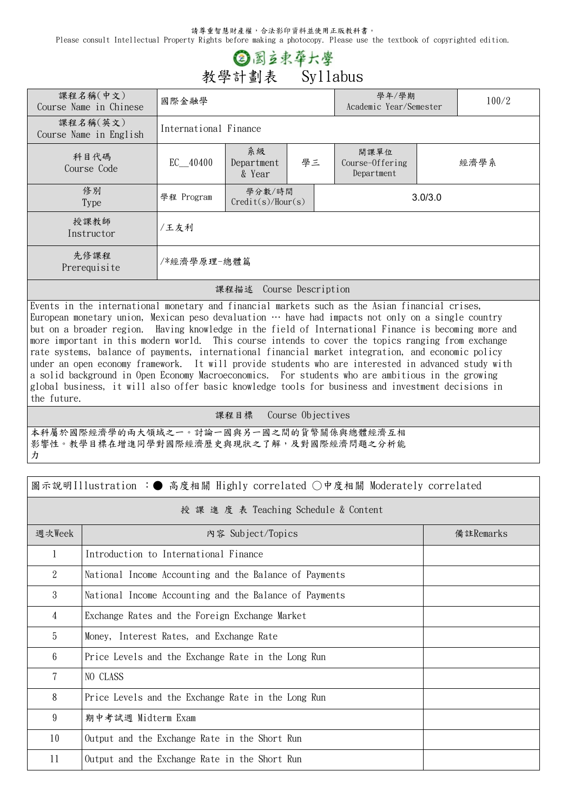請尊重智慧財產權,合法影印資料並使用正版教科書。

Please consult Intellectual Property Rights before making a photocopy. Please use the textbook of copyrighted edition.

## ② 图立束华大學 **教學計劃表 Syllabus**

| 課程名稱(中文)<br>Course Name in Chinese | 國際金融學                 |                             |    |         | 學年/學期<br>Academic Year/Semester       | 100/2 |  |  |
|------------------------------------|-----------------------|-----------------------------|----|---------|---------------------------------------|-------|--|--|
| 課程名稱(英文)<br>Course Name in English | International Finance |                             |    |         |                                       |       |  |  |
| 科目代碼<br>Course Code                | $EC$ 40400            | 系級<br>Department<br>& Year  | 學三 |         | 開課單位<br>Course-Offering<br>Department | 經濟學系  |  |  |
| 修別<br>Type                         | 學程 Program            | 學分數/時間<br>Credit(s)/Hour(s) |    | 3.0/3.0 |                                       |       |  |  |
| 授課教師<br>Instructor                 | /王友利                  |                             |    |         |                                       |       |  |  |
| 先修課程<br>Prerequisite               | /*經濟學原理-總體篇           |                             |    |         |                                       |       |  |  |
| 課程描述<br>Course Description         |                       |                             |    |         |                                       |       |  |  |

Events in the international monetary and financial markets such as the Asian financial crises, European monetary union, Mexican peso devaluation  $\cdots$  have had impacts not only on a single country but on a broader region. Having knowledge in the field of International Finance is becoming more and more important in this modern world. This course intends to cover the topics ranging from exchange rate systems, balance of payments, international financial market integration, and economic policy under an open economy framework. It will provide students who are interested in advanced study with a solid background in Open Economy Macroeconomics. For students who are ambitious in the growing global business, it will also offer basic knowledge tools for business and investment decisions in the future.

**課程目標 Course Objectives**

٦

本科屬於國際經濟學的兩大領域之一。討論一國與另一國之間的貨幣關係與總體經濟互相 影響性。教學目標在增進同學對國際經濟歷史與現狀之了解,及對國際經濟問題之分析能 力

| 圖示說明Illustration :● 高度相關 Highly correlated ○中度相關 Moderately correlated |                                                        |           |  |  |  |
|------------------------------------------------------------------------|--------------------------------------------------------|-----------|--|--|--|
| 授 課 進 度 表 Teaching Schedule & Content                                  |                                                        |           |  |  |  |
| 週次Week                                                                 | 内容 Subject/Topics                                      | 備註Remarks |  |  |  |
| 1                                                                      | Introduction to International Finance                  |           |  |  |  |
| 2                                                                      | National Income Accounting and the Balance of Payments |           |  |  |  |
| 3                                                                      | National Income Accounting and the Balance of Payments |           |  |  |  |
| 4                                                                      | Exchange Rates and the Foreign Exchange Market         |           |  |  |  |
| 5                                                                      | Money, Interest Rates, and Exchange Rate               |           |  |  |  |
| 6                                                                      | Price Levels and the Exchange Rate in the Long Run     |           |  |  |  |
| 7                                                                      | NO CLASS                                               |           |  |  |  |
| 8                                                                      | Price Levels and the Exchange Rate in the Long Run     |           |  |  |  |
| 9                                                                      | 期中考試週 Midterm Exam                                     |           |  |  |  |
| 10                                                                     | Output and the Exchange Rate in the Short Run          |           |  |  |  |
| 11                                                                     | Output and the Exchange Rate in the Short Run          |           |  |  |  |